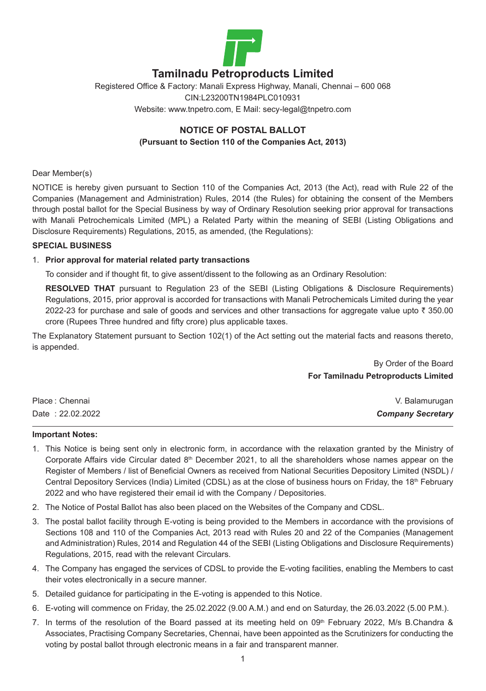

# **Tamilnadu Petroproducts Limited**

## Registered Office & Factory: Manali Express Highway, Manali, Chennai – 600 068 CIN:L23200TN1984PLC010931 Website: www.tnpetro.com, E Mail: secy-legal@tnpetro.com

### **NOTICE OF POSTAL BALLOT (Pursuant to Section 110 of the Companies Act, 2013)**

### Dear Member(s)

NOTICE is hereby given pursuant to Section 110 of the Companies Act, 2013 (the Act), read with Rule 22 of the Companies (Management and Administration) Rules, 2014 (the Rules) for obtaining the consent of the Members through postal ballot for the Special Business by way of Ordinary Resolution seeking prior approval for transactions with Manali Petrochemicals Limited (MPL) a Related Party within the meaning of SEBI (Listing Obligations and Disclosure Requirements) Regulations, 2015, as amended, (the Regulations):

### **SPECIAL BUSINESS**

### 1. **Prior approval for material related party transactions**

To consider and if thought fit, to give assent/dissent to the following as an Ordinary Resolution:

**RESOLVED THAT** pursuant to Regulation 23 of the SEBI (Listing Obligations & Disclosure Requirements) Regulations, 2015, prior approval is accorded for transactions with Manali Petrochemicals Limited during the year 2022-23 for purchase and sale of goods and services and other transactions for aggregate value upto  $\bar{\tau}$  350.00 crore (Rupees Three hundred and fifty crore) plus applicable taxes.

The Explanatory Statement pursuant to Section 102(1) of the Act setting out the material facts and reasons thereto, is appended.

> By Order of the Board **For Tamilnadu Petroproducts Limited**

| Place: Chennai   | V. Balamurugan           |
|------------------|--------------------------|
| Date: 22.02.2022 | <b>Company Secretary</b> |

#### **Important Notes:**

- 1. This Notice is being sent only in electronic form, in accordance with the relaxation granted by the Ministry of Corporate Affairs vide Circular dated  $8<sup>th</sup>$  December 2021, to all the shareholders whose names appear on the Register of Members / list of Beneficial Owners as received from National Securities Depository Limited (NSDL) / Central Depository Services (India) Limited (CDSL) as at the close of business hours on Friday, the 18<sup>th</sup> February 2022 and who have registered their email id with the Company / Depositories.
- 2. The Notice of Postal Ballot has also been placed on the Websites of the Company and CDSL.
- 3. The postal ballot facility through E-voting is being provided to the Members in accordance with the provisions of Sections 108 and 110 of the Companies Act, 2013 read with Rules 20 and 22 of the Companies (Management and Administration) Rules, 2014 and Regulation 44 of the SEBI (Listing Obligations and Disclosure Requirements) Regulations, 2015, read with the relevant Circulars.
- 4. The Company has engaged the services of CDSL to provide the E-voting facilities, enabling the Members to cast their votes electronically in a secure manner.
- 5. Detailed guidance for participating in the E-voting is appended to this Notice.
- 6. E-voting will commence on Friday, the 25.02.2022 (9.00 A.M.) and end on Saturday, the 26.03.2022 (5.00 P.M.).
- 7. In terms of the resolution of the Board passed at its meeting held on 09th February 2022, M/s B.Chandra & Associates, Practising Company Secretaries, Chennai, have been appointed as the Scrutinizers for conducting the voting by postal ballot through electronic means in a fair and transparent manner.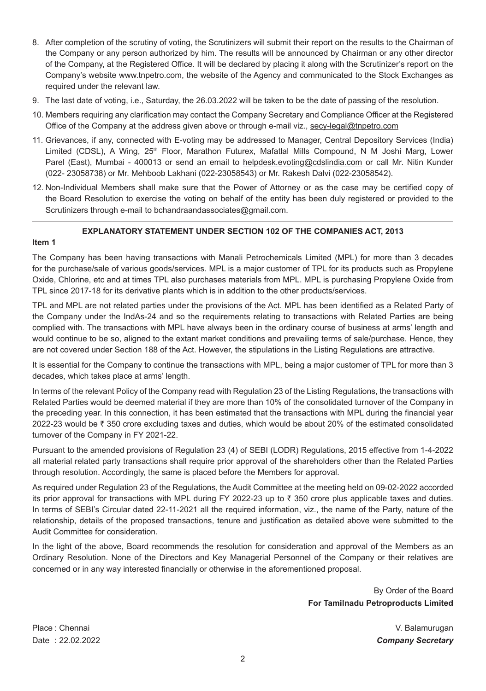- 8. After completion of the scrutiny of voting, the Scrutinizers will submit their report on the results to the Chairman of the Company or any person authorized by him. The results will be announced by Chairman or any other director of the Company, at the Registered Office. It will be declared by placing it along with the Scrutinizer's report on the Company's website [www.tnpetro.com,](http://www.manalipetro.com/) the website of the Agency and communicated to the Stock Exchanges as required under the relevant law.
- 9. The last date of voting, i.e., Saturday, the 26.03.2022 will be taken to be the date of passing of the resolution.
- 10. Members requiring any clarification may contact the Company Secretary and Compliance Officer at the Registered Office of the Company at the address given above or through e-mail viz., [secy-legal@tnpetro.com](mailto:secy-legal@tnpetro.com)
- 11. Grievances, if any, connected with E-voting may be addressed to Manager, Central Depository Services (India) Limited (CDSL), A Wing, 25<sup>th</sup> Floor, Marathon Futurex, Mafatlal Mills Compound, N M Joshi Marg, Lower Parel (East), Mumbai - 400013 or send an email to [helpdesk.evoting@cdslindia.com](mailto:helpdesk.evoting@cdslindia.com) or call Mr. Nitin Kunder (022- 23058738) or Mr. Mehboob Lakhani (022-23058543) or Mr. Rakesh Dalvi (022-23058542).
- 12. Non-Individual Members shall make sure that the Power of Attorney or as the case may be certified copy of the Board Resolution to exercise the voting on behalf of the entity has been duly registered or provided to the Scrutinizers through e-mail to bchandraandassociates@gmail.com.

### **EXPLANATORY STATEMENT UNDER SECTION 102 OF THE COMPANIES ACT, 2013**

### **Item 1**

The Company has been having transactions with Manali Petrochemicals Limited (MPL) for more than 3 decades for the purchase/sale of various goods/services. MPL is a major customer of TPL for its products such as Propylene Oxide, Chlorine, etc and at times TPL also purchases materials from MPL. MPL is purchasing Propylene Oxide from TPL since 2017-18 for its derivative plants which is in addition to the other products/services.

TPL and MPL are not related parties under the provisions of the Act. MPL has been identified as a Related Party of the Company under the IndAs-24 and so the requirements relating to transactions with Related Parties are being complied with. The transactions with MPL have always been in the ordinary course of business at arms' length and would continue to be so, aligned to the extant market conditions and prevailing terms of sale/purchase. Hence, they are not covered under Section 188 of the Act. However, the stipulations in the Listing Regulations are attractive.

It is essential for the Company to continue the transactions with MPL, being a major customer of TPL for more than 3 decades, which takes place at arms' length.

In terms of the relevant Policy of the Company read with Regulation 23 of the Listing Regulations, the transactions with Related Parties would be deemed material if they are more than 10% of the consolidated turnover of the Company in the preceding year. In this connection, it has been estimated that the transactions with MPL during the financial year 2022-23 would be  $\bar{\tau}$  350 crore excluding taxes and duties, which would be about 20% of the estimated consolidated turnover of the Company in FY 2021-22.

Pursuant to the amended provisions of Regulation 23 (4) of SEBI (LODR) Regulations, 2015 effective from 1-4-2022 all material related party transactions shall require prior approval of the shareholders other than the Related Parties through resolution. Accordingly, the same is placed before the Members for approval.

As required under Regulation 23 of the Regulations, the Audit Committee at the meeting held on 09-02-2022 accorded its prior approval for transactions with MPL during FY 2022-23 up to  $\bar{\tau}$  350 crore plus applicable taxes and duties. In terms of SEBI's Circular dated 22-11-2021 all the required information, viz., the name of the Party, nature of the relationship, details of the proposed transactions, tenure and justification as detailed above were submitted to the Audit Committee for consideration.

In the light of the above, Board recommends the resolution for consideration and approval of the Members as an Ordinary Resolution. None of the Directors and Key Managerial Personnel of the Company or their relatives are concerned or in any way interested financially or otherwise in the aforementioned proposal.

> By Order of the Board **For Tamilnadu Petroproducts Limited**

Date : 22.02.2022 *Company Secretary*

Place : Chennai V. Balamurugan (V. Balamurugan V. Balamurugan V. Balamurugan V. Balamurugan V. Balamurugan V. Balamurugan (V. Balamurugan V. Balamurugan V. Balamurugan V. Balamurugan V. Balamurugan (V. Balamurugan V. Balam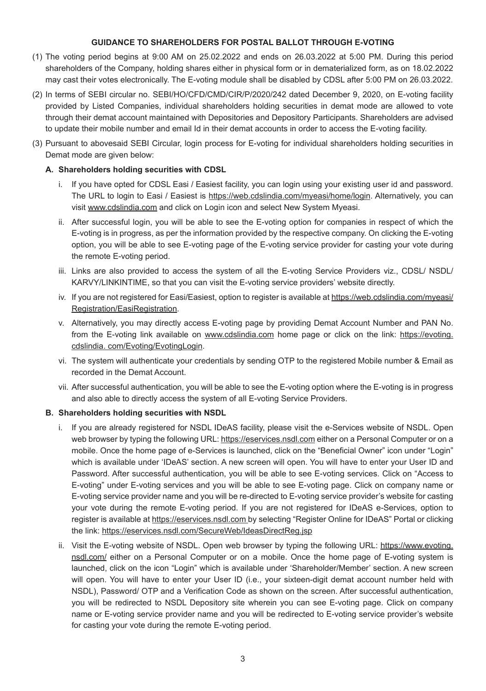### **GUIDANCE TO SHAREHOLDERS FOR POSTAL BALLOT THROUGH E-VOTING**

- (1) The voting period begins at 9:00 AM on 25.02.2022 and ends on 26.03.2022 at 5:00 PM. During this period shareholders of the Company, holding shares either in physical form or in dematerialized form, as on 18.02.2022 may cast their votes electronically. The E-voting module shall be disabled by CDSL after 5:00 PM on 26.03.2022.
- (2) In terms of SEBI circular no. SEBI/HO/CFD/CMD/CIR/P/2020/242 dated December 9, 2020, on E-voting facility provided by Listed Companies, individual shareholders holding securities in demat mode are allowed to vote through their demat account maintained with Depositories and Depository Participants. Shareholders are advised to update their mobile number and email Id in their demat accounts in order to access the E-voting facility.
- (3) Pursuant to abovesaid SEBI Circular, login process for E-voting for individual shareholders holding securities in Demat mode are given below:

### **A. Shareholders holding securities with CDSL**

- i. If you have opted for CDSL Easi / Easiest facility, you can login using your existing user id and password. The URL to login to Easi / Easiest is <https://web.cdslindia.com/myeasi/home/login>. Alternatively, you can visit [www.cdslindia.com](http://www.cdslindia.com/) and click on Login icon and select New System Myeasi.
- ii. After successful login, you will be able to see the E-voting option for companies in respect of which the E-voting is in progress, as per the information provided by the respective company. On clicking the E-voting option, you will be able to see E-voting page of the E-voting service provider for casting your vote during the remote E-voting period.
- iii. Links are also provided to access the system of all the E-voting Service Providers viz., CDSL/ NSDL/ KARVY/LINKINTIME, so that you can visit the E-voting service providers' website directly.
- iv. If you are not registered for Easi/Easiest, option to register is available at [https://web.cdslindia.com/myeasi/](https://web.cdslindia.com/myeasi/Registration/EasiRegistration) [Registration/EasiRegistration.](https://web.cdslindia.com/myeasi/Registration/EasiRegistration)
- v. Alternatively, you may directly access E-voting page by providing Demat Account Number and PAN No. from the E-voting link available on [www.cdslindia.com](http://www.cdslindia.com/) home page or click on the link: [https://evoting.](https://evoting.cdslindia.com/Evoting/EvotingLogin) [cdslindia.](https://evoting.cdslindia.com/Evoting/EvotingLogin) [com/Evoting/EvotingLogin.](https://evoting.cdslindia.com/Evoting/EvotingLogin)
- vi. The system will authenticate your credentials by sending OTP to the registered Mobile number & Email as recorded in the Demat Account.
- vii. After successful authentication, you will be able to see the E-voting option where the E-voting is in progress and also able to directly access the system of all E-voting Service Providers.

### **B. Shareholders holding securities with NSDL**

- i. If you are already registered for NSDL IDeAS facility, please visit the e-Services website of NSDL. Open web browser by typing the following URL: [https://eservices.nsdl.com](https://eservices.nsdl.com/) either on a Personal Computer or on a mobile. Once the home page of e-Services is launched, click on the "Beneficial Owner" icon under "Login" which is available under 'IDeAS' section. A new screen will open. You will have to enter your User ID and Password. After successful authentication, you will be able to see E-voting services. Click on "Access to E-voting" under E-voting services and you will be able to see E-voting page. Click on company name or E-voting service provider name and you will be re-directed to E-voting service provider's website for casting your vote during the remote E-voting period. If you are not registered for IDeAS e-Services, option to register is available at https://eservices.nsdl.com by selecting "Register Online for IDeAS" Portal or clicking the link: <https://eservices.nsdl.com/SecureWeb/IdeasDirectReg.jsp>
- ii. Visit the E-voting website of NSDL. Open web browser by typing the following URL: [https://www.evoting.](https://www.evoting.nsdl.com/) [nsdl.com/](https://www.evoting.nsdl.com/) either on a Personal Computer or on a mobile. Once the home page of E-voting system is launched, click on the icon "Login" which is available under 'Shareholder/Member' section. A new screen will open. You will have to enter your User ID (i.e., your sixteen-digit demat account number held with NSDL), Password/ OTP and a Verification Code as shown on the screen. After successful authentication, you will be redirected to NSDL Depository site wherein you can see E-voting page. Click on company name or E-voting service provider name and you will be redirected to E-voting service provider's website for casting your vote during the remote E-voting period.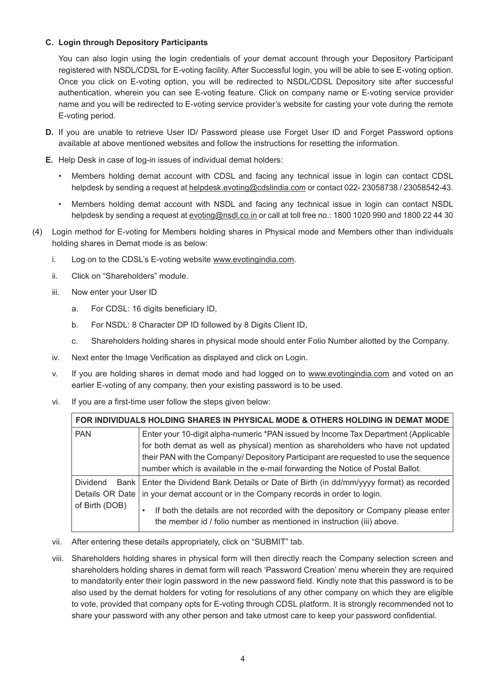### **C. Login through Depository Participants**

 You can also login using the login credentials of your demat account through your Depository Participant registered with NSDL/CDSL for E-voting facility. After Successful login, you will be able to see E-voting option. Once you click on E-voting option, you will be redirected to NSDL/CDSL Depository site after successful authentication, wherein you can see E-voting feature. Click on company name or E-voting service provider name and you will be redirected to E-voting service provider's website for casting your vote during the remote E-voting period.

- **D.** If you are unable to retrieve User ID/ Password please use Forget User ID and Forget Password options available at above mentioned websites and follow the instructions for resetting the information.
- **E.** Help Desk in case of log-in issues of individual demat holders:
	- Members holding demat account with CDSL and facing any technical issue in login can contact CDSL helpdesk by sending a request at [helpdesk.evoting@cdslindia.com](mailto:helpdesk.evoting@cdslindia.com) or contact 022-23058738 / 23058542-43.
	- • Members holding demat account with NSDL and facing any technical issue in login can contact NSDL helpdesk by sending a request at [evoting@nsdl.co.in](mailto:evoting@nsdl.co.in) or call at toll free no.: 1800 1020 990 and 1800 22 44 30
- (4) Login method for E-voting for Members holding shares in Physical mode and Members other than individuals holding shares in Demat mode is as below:
	- i. Log on to the CDSL's E-voting website [www.evotingindia.com.](http://www.evotingindia.com/)
	- ii. Click on "Shareholders" module.
	- iii. Now enter your User ID
		- a. For CDSL: 16 digits beneficiary ID,
		- b. For NSDL: 8 Character DP ID followed by 8 Digits Client ID,
		- c. Shareholders holding shares in physical mode should enter Folio Number allotted by the Company.
	- iv. Next enter the Image Verification as displayed and click on Login.
	- v. If you are holding shares in demat mode and had logged on to [www.evotingindia.com](http://www.evotingindia.com/) and voted on an earlier E-voting of any company, then your existing password is to be used.
	- vi. If you are a first-time user follow the steps given below:

| FOR INDIVIDUALS HOLDING SHARES IN PHYSICAL MODE & OTHERS HOLDING IN DEMAT MODE |                                                                                                                                                                                                                                                                                                                                                   |
|--------------------------------------------------------------------------------|---------------------------------------------------------------------------------------------------------------------------------------------------------------------------------------------------------------------------------------------------------------------------------------------------------------------------------------------------|
| <b>PAN</b>                                                                     | Enter your 10-digit alpha-numeric *PAN issued by Income Tax Department (Applicable<br>for both demat as well as physical) mention as shareholders who have not updated<br>their PAN with the Company/ Depository Participant are requested to use the sequence<br>number which is available in the e-mail forwarding the Notice of Postal Ballot. |
| <b>Dividend</b><br>Details OR Date<br>of Birth (DOB)                           | Bank   Enter the Dividend Bank Details or Date of Birth (in dd/mm/yyyy format) as recorded<br>in your demat account or in the Company records in order to login.<br>If both the details are not recorded with the depository or Company please enter<br>٠<br>the member id / folio number as mentioned in instruction (iii) above.                |

- vii. After entering these details appropriately, click on "SUBMIT" tab.
- viii. Shareholders holding shares in physical form will then directly reach the Company selection screen and shareholders holding shares in demat form will reach 'Password Creation' menu wherein they are required to mandatorily enter their login password in the new password field. Kindly note that this password is to be also used by the demat holders for voting for resolutions of any other company on which they are eligible to vote, provided that company opts for E-voting through CDSL platform. It is strongly recommended not to share your password with any other person and take utmost care to keep your password confidential.